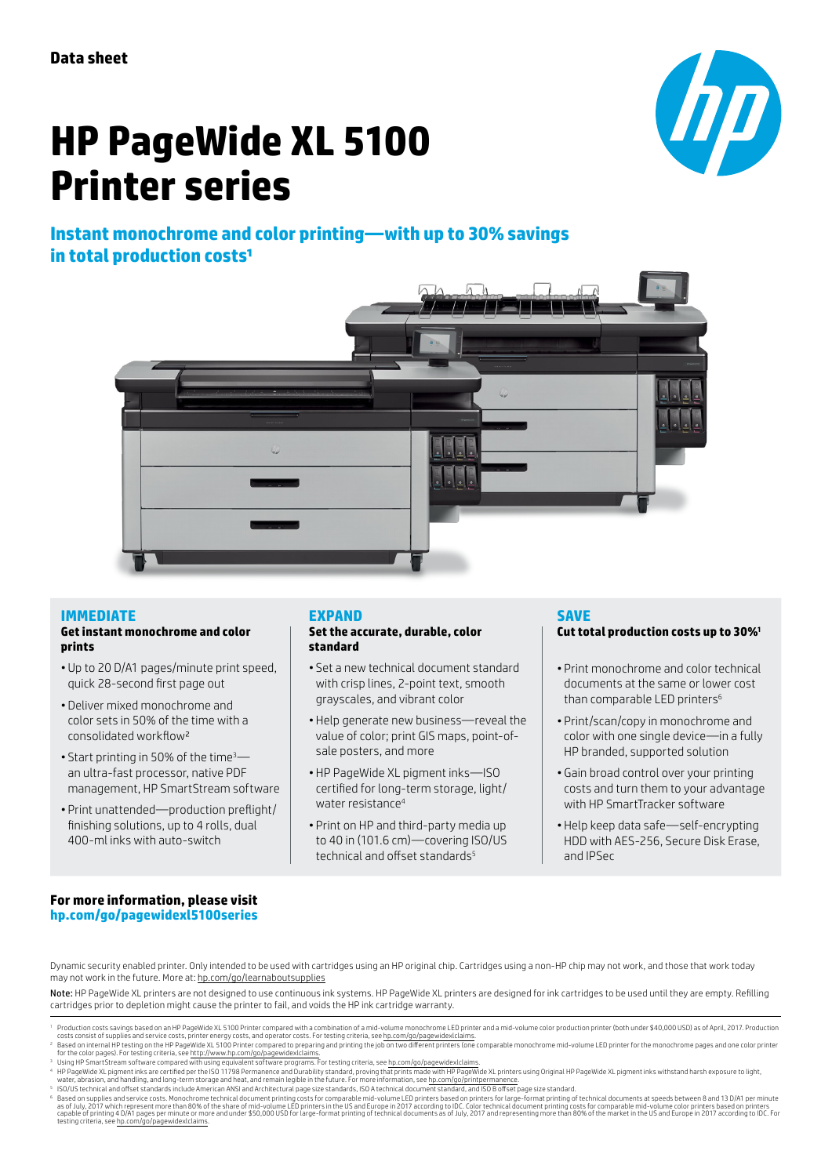# $\boldsymbol{D}$

# **HP PageWide XL 5100 Printer series**

# **Instant monochrome and color printing—with up to 30% savings in total production costs<sup>1</sup>**



#### **IMMEDIATE**

#### **Get instant monochrome and color prints**

- Up to 20 D/A1 pages/minute print speed, quick 28-second first page out
- Deliver mixed monochrome and color sets in 50% of the time with a consolidated workflow²
- Start printing in 50% of the time<sup>3</sup> an ultra-fast processor, native PDF management, HP SmartStream software
- Print unattended—production preflight/ finishing solutions, up to 4 rolls, dual 400-ml inks with auto-switch

#### **EXPAND**

#### **Set the accurate, durable, color standard**

- Set a new technical document standard with crisp lines, 2-point text, smooth grayscales, and vibrant color
- Help generate new business—reveal the value of color; print GIS maps, point-ofsale posters, and more
- HP PageWide XL pigment inks—ISO certified for long-term storage, light/ water resistance<sup>4</sup>
- Print on HP and third-party media up to 40 in (101.6 cm)—covering ISO/US technical and offset standards<sup>5</sup>

#### **SAVE**

#### **Cut total production costs up to 30%1**

- Print monochrome and color technical documents at the same or lower cost than comparable LED printers<sup>6</sup>
- Print/scan/copy in monochrome and color with one single device—in a fully HP branded, supported solution
- Gain broad control over your printing costs and turn them to your advantage with HP SmartTracker software
- Help keep data safe—self-encrypting HDD with AES-256, Secure Disk Erase, and IPSec

#### **For more information, please visit [hp.com/go/pagewidexl5100](http://www.hp.com/go/pagewidexl5000mfp)series**

Dynamic security enabled printer. Only intended to be used with cartridges using an HP original chip. Cartridges using a non-HP chip may not work, and those that work today may not work in the future. More at: [hp.com/go/learnaboutsupplies](http://hp.com/go/learnaboutsupplies)

Note: HP PageWide XL printers are not designed to use continuous ink systems. HP PageWide XL printers are designed for ink cartridges to be used until they are empty. Refilling cartridges prior to depletion might cause the printer to fail, and voids the HP ink cartridge warranty.

for the color pages). For testing criteria, see <u>http://www.hp.com/go/pagewidexklaims,</u><br><sup>8</sup> Listing criterial see http://www.hp.com/go/pagewidexklaims.<br><sup>8</sup> Listing Fam End with sing equivalent software programs. For testin

<sup>&</sup>lt;sup>1</sup> Production costs savings based on an HP PageWide XL 5100 Printer compared with a combination of a mid-volume monochrome LED printer and a mid-volume color production printer (both under \$40,000 USD) as of April, 2017.